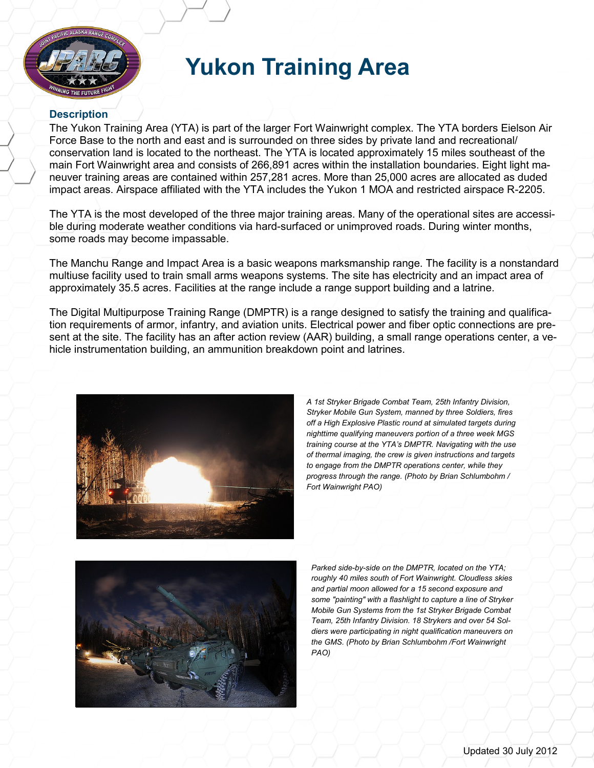

## **Yukon Training Area**

## **Description**

The Yukon Training Area (YTA) is part of the larger Fort Wainwright complex. The YTA borders Eielson Air Force Base to the north and east and is surrounded on three sides by private land and recreational/ conservation land is located to the northeast. The YTA is located approximately 15 miles southeast of the main Fort Wainwright area and consists of 266,891 acres within the installation boundaries. Eight light maneuver training areas are contained within 257,281 acres. More than 25,000 acres are allocated as duded impact areas. Airspace affiliated with the YTA includes the Yukon 1 MOA and restricted airspace R-2205.

The YTA is the most developed of the three major training areas. Many of the operational sites are accessible during moderate weather conditions via hard-surfaced or unimproved roads. During winter months, some roads may become impassable.

The Manchu Range and Impact Area is a basic weapons marksmanship range. The facility is a nonstandard multiuse facility used to train small arms weapons systems. The site has electricity and an impact area of approximately 35.5 acres. Facilities at the range include a range support building and a latrine.

The Digital Multipurpose Training Range (DMPTR) is a range designed to satisfy the training and qualification requirements of armor, infantry, and aviation units. Electrical power and fiber optic connections are present at the site. The facility has an after action review (AAR) building, a small range operations center, a vehicle instrumentation building, an ammunition breakdown point and latrines.



*A 1st Stryker Brigade Combat Team, 25th Infantry Division, Stryker Mobile Gun System, manned by three Soldiers, fires off a High Explosive Plastic round at simulated targets during nighttime qualifying maneuvers portion of a three week MGS training course at the YTA's DMPTR. Navigating with the use of thermal imaging, the crew is given instructions and targets to engage from the DMPTR operations center, while they progress through the range. (Photo by Brian Schlumbohm / Fort Wainwright PAO)*



*Parked side-by-side on the DMPTR, located on the YTA; roughly 40 miles south of Fort Wainwright. Cloudless skies and partial moon allowed for a 15 second exposure and some "painting" with a flashlight to capture a line of Stryker Mobile Gun Systems from the 1st Stryker Brigade Combat Team, 25th Infantry Division. 18 Strykers and over 54 Soldiers were participating in night qualification maneuvers on the GMS. (Photo by Brian Schlumbohm /Fort Wainwright PAO)*